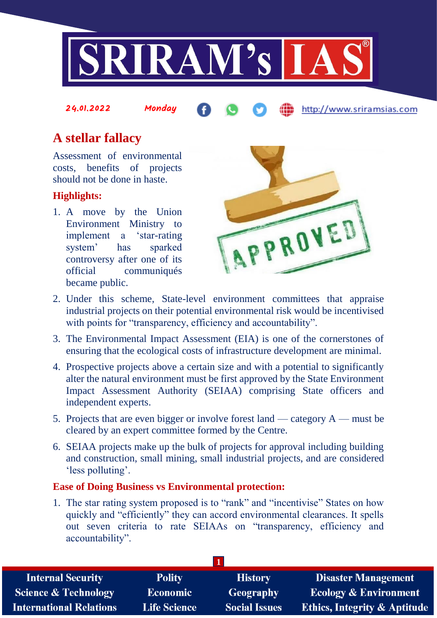

# **A stellar fallacy**

Assessment of environmental costs, benefits of projects should not be done in haste.

24.01.2022 Monday

### **Highlights:**

1. A move by the Union Environment Ministry to implement a 'star-rating system' has sparked controversy after one of its official communiqués became public.



http://www.sriramsias.com

- 2. Under this scheme, State-level environment committees that appraise industrial projects on their potential environmental risk would be incentivised with points for "transparency, efficiency and accountability".
- 3. The Environmental Impact Assessment (EIA) is one of the cornerstones of ensuring that the ecological costs of infrastructure development are minimal.
- 4. Prospective projects above a certain size and with a potential to significantly alter the natural environment must be first approved by the State Environment Impact Assessment Authority (SEIAA) comprising State officers and independent experts.
- 5. Projects that are even bigger or involve forest land category  $A$  must be cleared by an expert committee formed by the Centre.
- 6. SEIAA projects make up the bulk of projects for approval including building and construction, small mining, small industrial projects, and are considered 'less polluting'.

#### **Ease of Doing Business vs Environmental protection:**

1. The star rating system proposed is to "rank" and "incentivise" States on how quickly and "efficiently" they can accord environmental clearances. It spells out seven criteria to rate SEIAAs on "transparency, efficiency and accountability".

| <b>Polity</b>       | <b>History</b>       | <b>Disaster Management</b>              |
|---------------------|----------------------|-----------------------------------------|
| <b>Economic</b>     | Geography            | <b>Ecology &amp; Environment</b>        |
| <b>Life Science</b> | <b>Social Issues</b> | <b>Ethics, Integrity &amp; Aptitude</b> |
|                     |                      |                                         |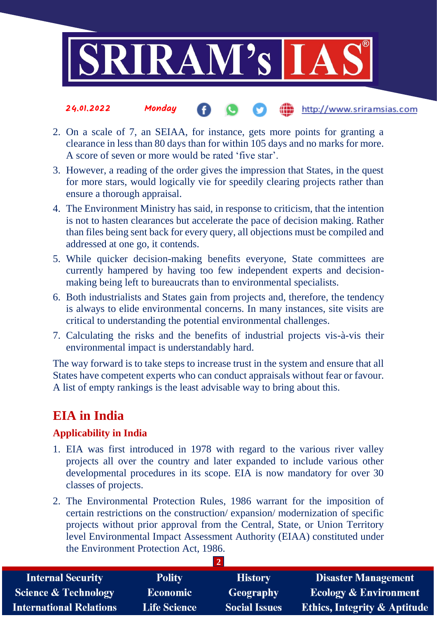

- 24.01.2022 Monday http://www.sriramsias.com
- 2. On a scale of 7, an SEIAA, for instance, gets more points for granting a clearance in less than 80 days than for within 105 days and no marks for more. A score of seven or more would be rated 'five star'.
- 3. However, a reading of the order gives the impression that States, in the quest for more stars, would logically vie for speedily clearing projects rather than ensure a thorough appraisal.
- 4. The Environment Ministry has said, in response to criticism, that the intention is not to hasten clearances but accelerate the pace of decision making. Rather than files being sent back for every query, all objections must be compiled and addressed at one go, it contends.
- 5. While quicker decision-making benefits everyone, State committees are currently hampered by having too few independent experts and decisionmaking being left to bureaucrats than to environmental specialists.
- 6. Both industrialists and States gain from projects and, therefore, the tendency is always to elide environmental concerns. In many instances, site visits are critical to understanding the potential environmental challenges.
- 7. Calculating the risks and the benefits of industrial projects vis-à-vis their environmental impact is understandably hard.

The way forward is to take steps to increase trust in the system and ensure that all States have competent experts who can conduct appraisals without fear or favour. A list of empty rankings is the least advisable way to bring about this.

## **EIA in India**

### **Applicability in India**

- 1. EIA was first introduced in 1978 with regard to the various river valley projects all over the country and later expanded to include various other developmental procedures in its scope. EIA is now mandatory for over 30 classes of projects.
- 2. The Environmental Protection Rules, 1986 warrant for the imposition of certain restrictions on the construction/ expansion/ modernization of specific projects without prior approval from the Central, State, or Union Territory level Environmental Impact Assessment Authority (EIAA) constituted under the Environment Protection Act, 1986.

**2** 

| <b>Internal Security</b>        | <b>Polity</b>       | <b>History</b>       | <b>Disaster Management</b>              |  |  |
|---------------------------------|---------------------|----------------------|-----------------------------------------|--|--|
| <b>Science &amp; Technology</b> | <b>Economic</b>     | Geography            | <b>Ecology &amp; Environment</b>        |  |  |
| <b>International Relations</b>  | <b>Life Science</b> | <b>Social Issues</b> | <b>Ethics, Integrity &amp; Aptitude</b> |  |  |